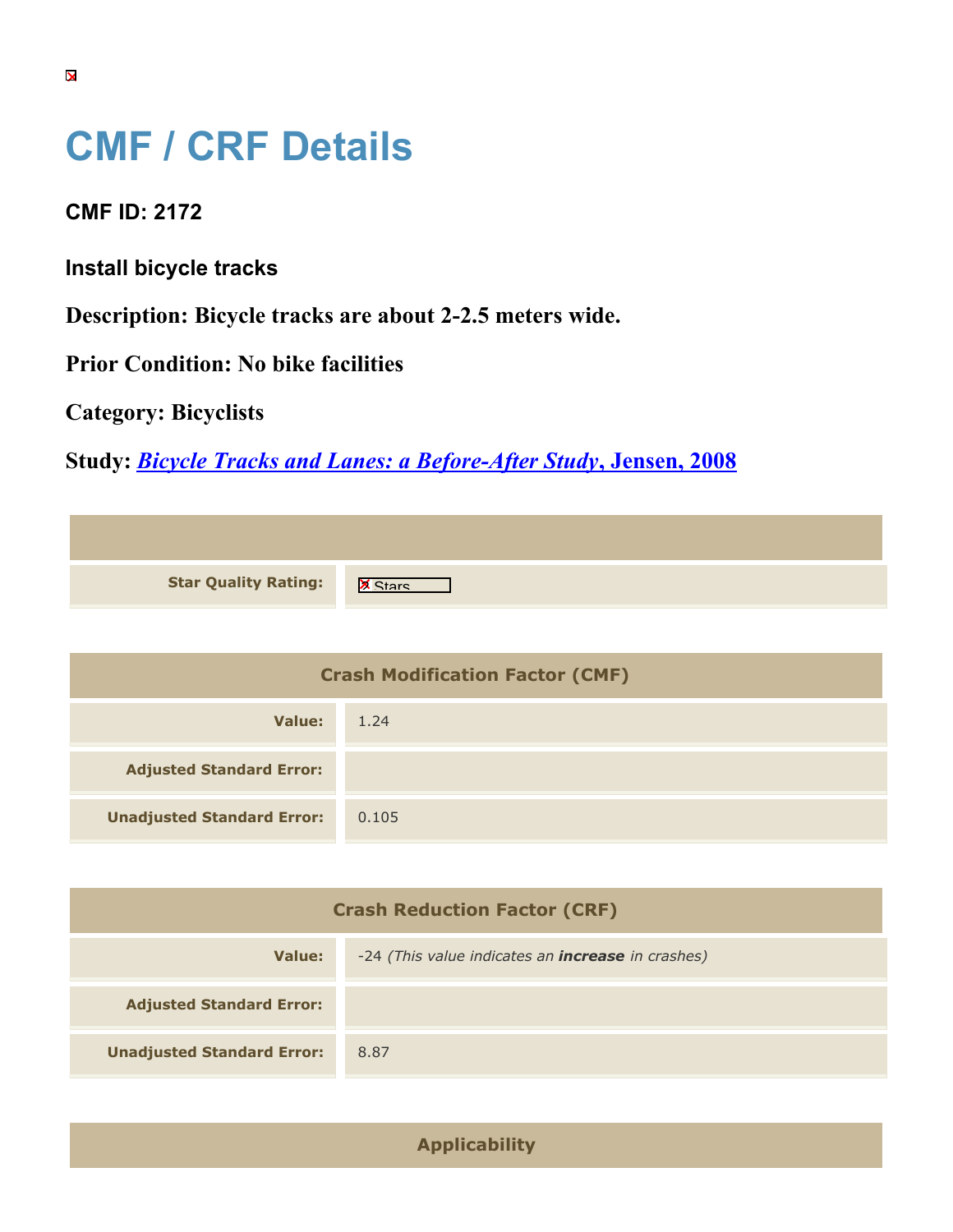## **CMF / CRF Details**

**CMF ID: 2172**

**Install bicycle tracks**

**Description: Bicycle tracks are about 2-2.5 meters wide.**

**Prior Condition: No bike facilities**

**Category: Bicyclists**

**Study:** *[Bicycle Tracks and Lanes: a Before-After Study](https://cmfclearinghouse.org/study_detail.cfm?stid=124)***[, Jensen, 2008](https://cmfclearinghouse.org/study_detail.cfm?stid=124)**

| <b>Star Quality Rating:</b> | IX |
|-----------------------------|----|

| <b>Crash Modification Factor (CMF)</b> |       |  |
|----------------------------------------|-------|--|
| Value:                                 | 1.24  |  |
| <b>Adjusted Standard Error:</b>        |       |  |
| <b>Unadjusted Standard Error:</b>      | 0.105 |  |

| <b>Crash Reduction Factor (CRF)</b> |                                                          |
|-------------------------------------|----------------------------------------------------------|
| Value:                              | -24 (This value indicates an <b>increase</b> in crashes) |
| <b>Adjusted Standard Error:</b>     |                                                          |
| <b>Unadjusted Standard Error:</b>   | 8.87                                                     |

**Applicability**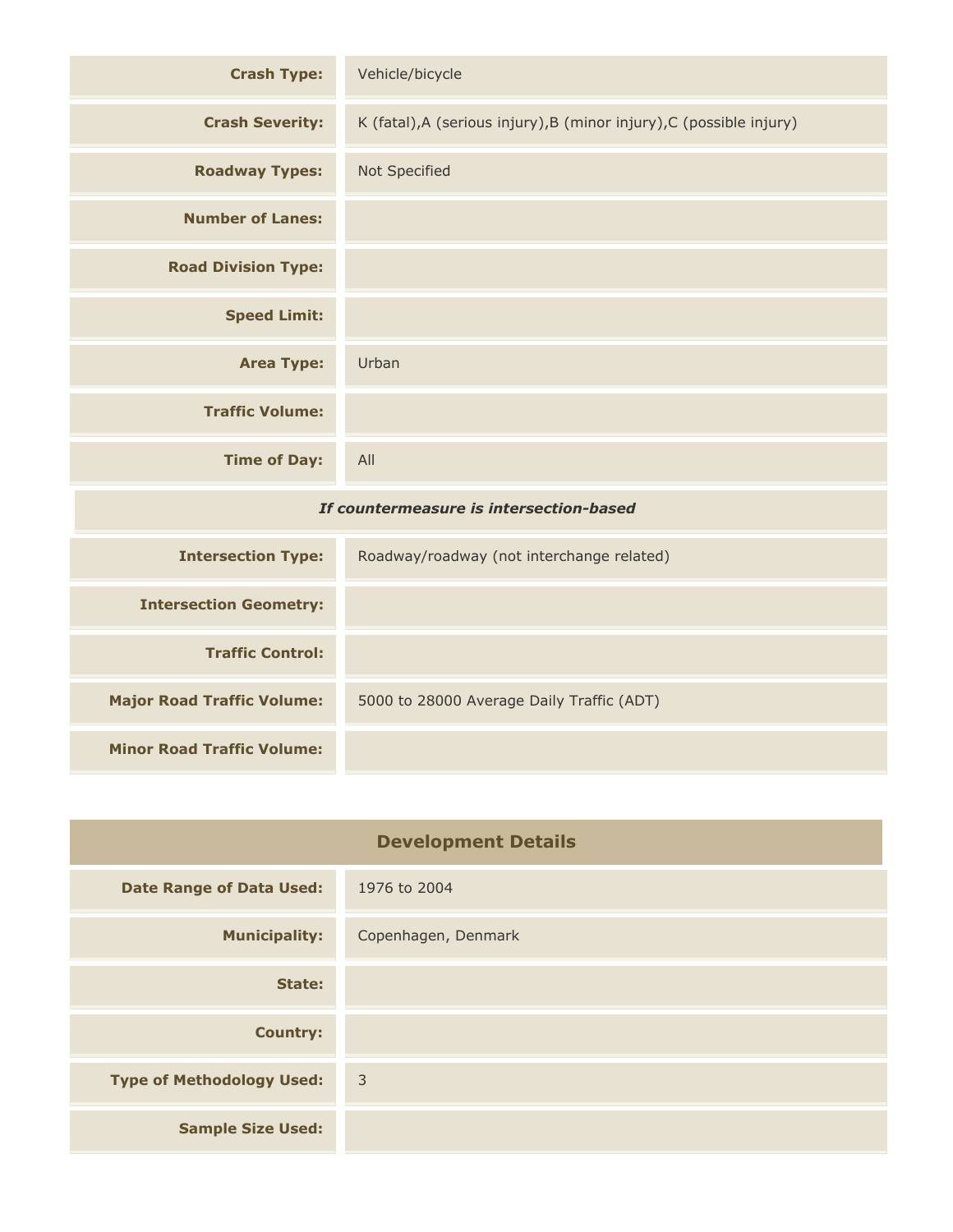| <b>Crash Type:</b>                      | Vehicle/bicycle                                                      |
|-----------------------------------------|----------------------------------------------------------------------|
| <b>Crash Severity:</b>                  | K (fatal), A (serious injury), B (minor injury), C (possible injury) |
| <b>Roadway Types:</b>                   | Not Specified                                                        |
| <b>Number of Lanes:</b>                 |                                                                      |
| <b>Road Division Type:</b>              |                                                                      |
| <b>Speed Limit:</b>                     |                                                                      |
| <b>Area Type:</b>                       | Urban                                                                |
| <b>Traffic Volume:</b>                  |                                                                      |
| <b>Time of Day:</b>                     | All                                                                  |
| If countermeasure is intersection-based |                                                                      |
| <b>Intersection Type:</b>               | Roadway/roadway (not interchange related)                            |
| <b>Intersection Geometry:</b>           |                                                                      |
| <b>Traffic Control:</b>                 |                                                                      |
| <b>Major Road Traffic Volume:</b>       | 5000 to 28000 Average Daily Traffic (ADT)                            |
| <b>Minor Road Traffic Volume:</b>       |                                                                      |

| <b>Development Details</b>       |                     |
|----------------------------------|---------------------|
| <b>Date Range of Data Used:</b>  | 1976 to 2004        |
| <b>Municipality:</b>             | Copenhagen, Denmark |
| State:                           |                     |
| <b>Country:</b>                  |                     |
| <b>Type of Methodology Used:</b> | $\overline{3}$      |
| <b>Sample Size Used:</b>         |                     |